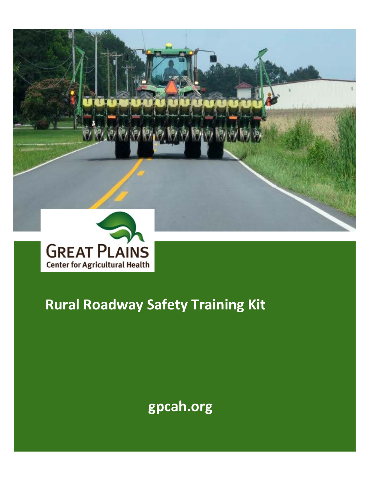



# **Rural Roadway Safety Training Kit**

**gpcah.org**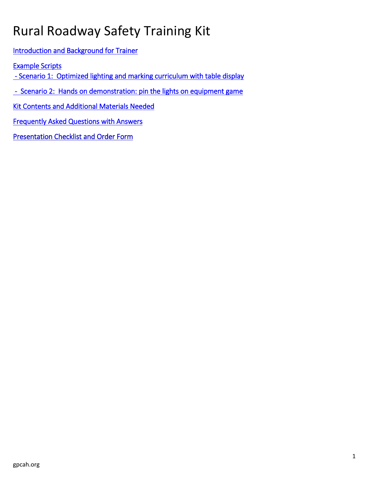# Rural Roadway Safety Training Kit

[Introduction and Background for Trainer](#page-2-0) 

[Example Scripts](#page-3-0) 

- Scenario 1: Optimized lighting and marking curriculum with table display

 [- Scenario 2: Hands on demonstration: pin the lights on equipment game](#page-4-0) 

[Kit Contents and Additional Materials Needed](#page-8-0) 

[Frequently Asked Questions with Answers](#page-10-0) 

[Presentation Checklist and Order Form](#page-11-0)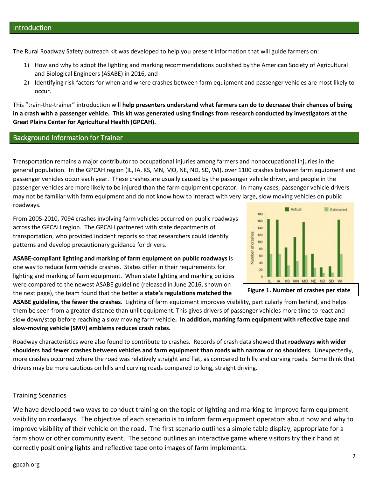<span id="page-2-0"></span>The Rural Roadway Safety outreach kit was developed to help you present information that will guide farmers on:

- 1) How and why to adopt the lighting and marking recommendations published by the American Society of Agricultural and Biological Engineers (ASABE) in 2016, and
- 2) Identifying risk factors for when and where crashes between farm equipment and passenger vehicles are most likely to occur.

This "train-the-trainer" introduction will **help presenters understand what farmers can do to decrease their chances of being in a crash with a passenger vehicle. This kit was generated using findings from research conducted by investigators at the Great Plains Center for Agricultural Health (GPCAH).**

#### Background Information for Trainer

Transportation remains a major contributor to occupational injuries among farmers and nonoccupational injuries in the general population. In the GPCAH region (IL, IA, KS, MN, MO, NE, ND, SD, WI), over 1100 crashes between farm equipment and passenger vehicles occur each year. These crashes are usually caused by the passenger vehicle driver, and people in the passenger vehicles are more likely to be injured than the farm equipment operator. In many cases, passenger vehicle drivers may not be familiar with farm equipment and do not know how to interact with very large, slow moving vehicles on public roadways.

From 2005-2010, 7094 crashes involving farm vehicles occurred on public roadways across the GPCAH region. The GPCAH partnered with state departments of transportation, who provided incident reports so that researchers could identify patterns and develop precautionary guidance for drivers.



**ASABE-compliant lighting and marking of farm equipment on public roadways** is one way to reduce farm vehicle crashes. States differ in their requirements for lighting and marking of farm equipment. When state lighting and marking policies were compared to the newest ASABE guideline (released in June 2016, shown on the next page), the team found that the better a **state's regulations matched the** 

**ASABE guideline, the fewer the crashes**. Lighting of farm equipment improves visibility, particularly from behind, and helps them be seen from a greater distance than unlit equipment. This gives drivers of passenger vehicles more time to react and slow down/stop before reaching a slow moving farm vehicle**. In addition, marking farm equipment with reflective tape and slow-moving vehicle (SMV) emblems reduces crash rates.**

Roadway characteristics were also found to contribute to crashes. Records of crash data showed that **roadways with wider shoulders had fewer crashes between vehicles and farm equipment than roads with narrow or no shoulders**. Unexpectedly, more crashes occurred where the road was relatively straight and flat, as compared to hilly and curving roads. Some think that drivers may be more cautious on hills and curving roads compared to long, straight driving.

#### Training Scenarios

We have developed two ways to conduct training on the topic of lighting and marking to improve farm equipment visibility on roadways. The objective of each scenario is to inform farm equipment operators about how and why to improve visibility of their vehicle on the road. The first scenario outlines a simple table display, appropriate for a farm show or other community event. The second outlines an interactive game where visitors try their hand at correctly positioning lights and reflective tape onto images of farm implements.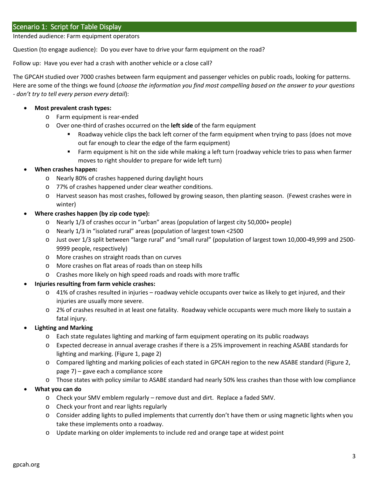<span id="page-3-0"></span>Intended audience: Farm equipment operators

Question (to engage audience): Do you ever have to drive your farm equipment on the road?

Follow up: Have you ever had a crash with another vehicle or a close call?

The GPCAH studied over 7000 crashes between farm equipment and passenger vehicles on public roads, looking for patterns. Here are some of the things we found (*choose the information you find most compelling based on the answer to your questions - don't try to tell every person every detail*):

#### • **Most prevalent crash types:**

- o Farm equipment is rear-ended
- o Over one-third of crashes occurred on the **left side** of the farm equipment
	- Roadway vehicle clips the back left corner of the farm equipment when trying to pass (does not move out far enough to clear the edge of the farm equipment)
	- Farm equipment is hit on the side while making a left turn (roadway vehicle tries to pass when farmer moves to right shoulder to prepare for wide left turn)

#### • **When crashes happen:**

- o Nearly 80% of crashes happened during daylight hours
- o 77% of crashes happened under clear weather conditions.
- o Harvest season has most crashes, followed by growing season, then planting season. (Fewest crashes were in winter)

#### • **Where crashes happen (by zip code type):**

- o Nearly 1/3 of crashes occur in "urban" areas (population of largest city 50,000+ people)
- o Nearly 1/3 in "isolated rural" areas (population of largest town <2500
- o Just over 1/3 split between "large rural" and "small rural" (population of largest town 10,000-49,999 and 2500- 9999 people, respectively)
- o More crashes on straight roads than on curves
- o More crashes on flat areas of roads than on steep hills
- o Crashes more likely on high speed roads and roads with more traffic

#### • **Injuries resulting from farm vehicle crashes:**

- $\circ$  41% of crashes resulted in injuries roadway vehicle occupants over twice as likely to get injured, and their injuries are usually more severe.
- o 2% of crashes resulted in at least one fatality. Roadway vehicle occupants were much more likely to sustain a fatal injury.
- **Lighting and Marking**
	- o Each state regulates lighting and marking of farm equipment operating on its public roadways
	- o Expected decrease in annual average crashes if there is a 25% improvement in reaching ASABE standards for lighting and marking. (Figure 1, page 2)
	- o Compared lighting and marking policies of each stated in GPCAH region to the new ASABE standard (Figure 2, page 7) – gave each a compliance score
	- o Those states with policy similar to ASABE standard had nearly 50% less crashes than those with low compliance
- **What you can do**
	- o Check your SMV emblem regularly remove dust and dirt. Replace a faded SMV.
	- o Check your front and rear lights regularly
	- o Consider adding lights to pulled implements that currently don't have them or using magnetic lights when you take these implements onto a roadway.
	- o Update marking on older implements to include red and orange tape at widest point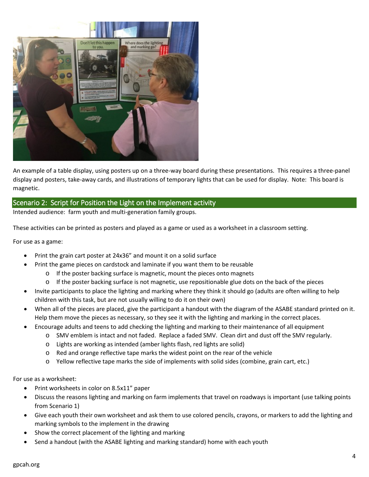

An example of a table display, using posters up on a three-way board during these presentations. This requires a three-panel display and posters, take-away cards, and illustrations of temporary lights that can be used for display. Note: This board is magnetic.

### <span id="page-4-0"></span>Scenario 2: Script for Position the Light on the Implement activity

Intended audience: farm youth and multi-generation family groups.

These activities can be printed as posters and played as a game or used as a worksheet in a classroom setting.

For use as a game:

- Print the grain cart poster at 24x36" and mount it on a solid surface
- Print the game pieces on cardstock and laminate if you want them to be reusable
	- o If the poster backing surface is magnetic, mount the pieces onto magnets
	- o If the poster backing surface is not magnetic, use repositionable glue dots on the back of the pieces
- Invite participants to place the lighting and marking where they think it should go (adults are often willing to help children with this task, but are not usually willing to do it on their own)
- When all of the pieces are placed, give the participant a handout with the diagram of the ASABE standard printed on it. Help them move the pieces as necessary, so they see it with the lighting and marking in the correct places.
- Encourage adults and teens to add checking the lighting and marking to their maintenance of all equipment
	- o SMV emblem is intact and not faded. Replace a faded SMV. Clean dirt and dust off the SMV regularly.
	- o Lights are working as intended (amber lights flash, red lights are solid)
	- o Red and orange reflective tape marks the widest point on the rear of the vehicle
	- o Yellow reflective tape marks the side of implements with solid sides (combine, grain cart, etc.)

For use as a worksheet:

- Print worksheets in color on 8.5x11" paper
- Discuss the reasons lighting and marking on farm implements that travel on roadways is important (use talking points from Scenario 1)
- Give each youth their own worksheet and ask them to use colored pencils, crayons, or markers to add the lighting and marking symbols to the implement in the drawing
- Show the correct placement of the lighting and marking
- Send a handout (with the ASABE lighting and marking standard) home with each youth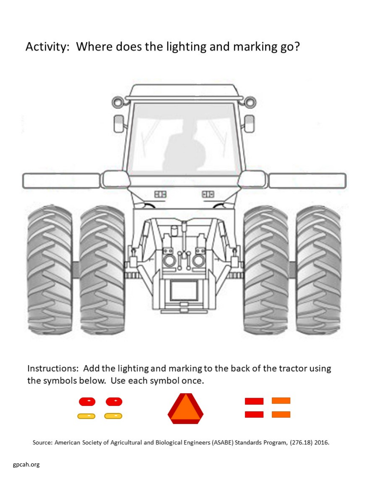# Activity: Where does the lighting and marking go?



Instructions: Add the lighting and marking to the back of the tractor using the symbols below. Use each symbol once.



Source: American Society of Agricultural and Biological Engineers (ASABE) Standards Program, (276.18) 2016.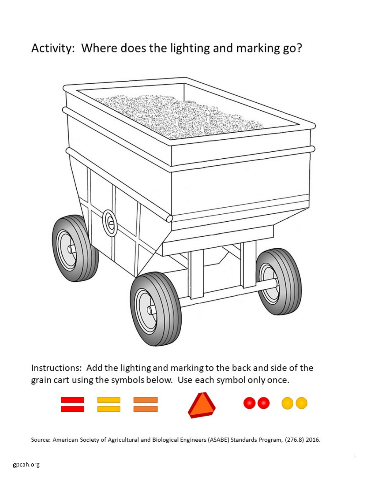Activity: Where does the lighting and marking go?



Instructions: Add the lighting and marking to the back and side of the grain cart using the symbols below. Use each symbol only once.



Source: American Society of Agricultural and Biological Engineers (ASABE) Standards Program, (276.8) 2016.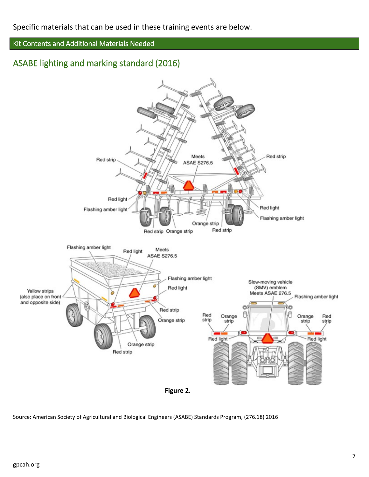## Kit Contents and Additional Materials Needed

# ASABE lighting and marking standard (2016)



Source: American Society of Agricultural and Biological Engineers (ASABE) Standards Program, (276.18) 2016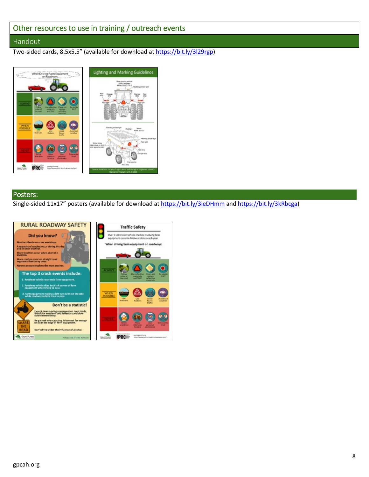# <span id="page-8-0"></span>Other resources to use in training / outreach events

#### Handout

Two-sided cards, 8.5x5.5" (available for download a[t https://bit.ly/3l29rgp\)](https://bit.ly/3l29rgp)



#### Posters:

Single-sided 11x17" posters (available for download at<https://bit.ly/3ieDHmm> and [https://bit.ly/3kRbcga\)](https://bit.ly/3kRbcga)

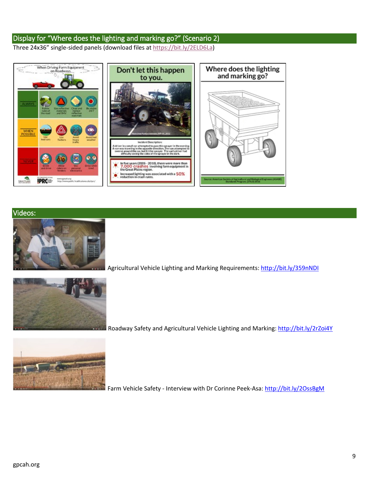## Display for "Where does the lighting and marking go?" (Scenario 2)

Three 24x36" single-sided panels (download files at [https://bit.ly/2ELD6La\)](https://bit.ly/2ELD6La)



#### Videos:



Agricultural Vehicle Lighting and Marking Requirements:<http://bit.ly/359nNDI>



Roadway Safety and Agricultural Vehicle Lighting and Marking[: http://bit.ly/2rZoi4Y](http://bit.ly/2rZoi4Y)



Farm Vehicle Safety - Interview with Dr Corinne Peek-Asa[: http://bit.ly/2OssBgM](http://bit.ly/2OssBgM)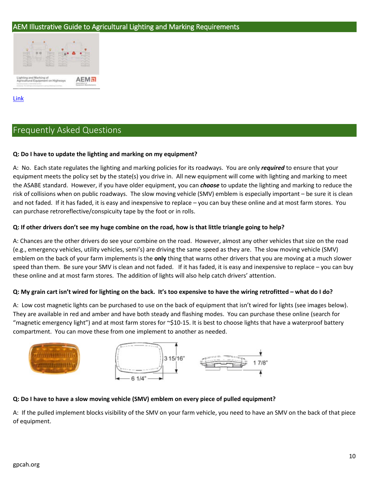### AEM Illustrative Guide to Agricultural Lighting and Marking Requirements



#### [Link](https://shop.aem.org/en/AEM%20Safety/aem-safety-products/lighting-and-marking-of-agricultural-equipment-on-highways-guide/?kui=BmKjciIJ3UYTCFYc6Neh2w#_ts=1513700088878)

# <span id="page-10-0"></span>Frequently Asked Questions

#### **Q: Do I have to update the lighting and marking on my equipment?**

A: No. Each state regulates the lighting and marking policies for its roadways. You are only *required* to ensure that your equipment meets the policy set by the state(s) you drive in. All new equipment will come with lighting and marking to meet the ASABE standard. However, if you have older equipment, you can *choose* to update the lighting and marking to reduce the risk of collisions when on public roadways. The slow moving vehicle (SMV) emblem is especially important – be sure it is clean and not faded. If it has faded, it is easy and inexpensive to replace – you can buy these online and at most farm stores. You can purchase retroreflective/conspicuity tape by the foot or in rolls.

#### **Q: If other drivers don't see my huge combine on the road, how is that little triangle going to help?**

A: Chances are the other drivers do see your combine on the road. However, almost any other vehicles that size on the road (e.g., emergency vehicles, utility vehicles, semi's) are driving the same speed as they are. The slow moving vehicle (SMV) emblem on the back of your farm implements is the **only** thing that warns other drivers that you are moving at a much slower speed than them. Be sure your SMV is clean and not faded. If it has faded, it is easy and inexpensive to replace – you can buy these online and at most farm stores. The addition of lights will also help catch drivers' attention.

#### **Q: My grain cart isn't wired for lighting on the back. It's too expensive to have the wiring retrofitted – what do I do?**

A: Low cost magnetic lights can be purchased to use on the back of equipment that isn't wired for lights (see images below). They are available in red and amber and have both steady and flashing modes. You can purchase these online (search for "magnetic emergency light") and at most farm stores for  $\sim$ \$10-15. It is best to choose lights that have a waterproof battery compartment. You can move these from one implement to another as needed.



#### **Q: Do I have to have a slow moving vehicle (SMV) emblem on every piece of pulled equipment?**

A: If the pulled implement blocks visibility of the SMV on your farm vehicle, you need to have an SMV on the back of that piece of equipment.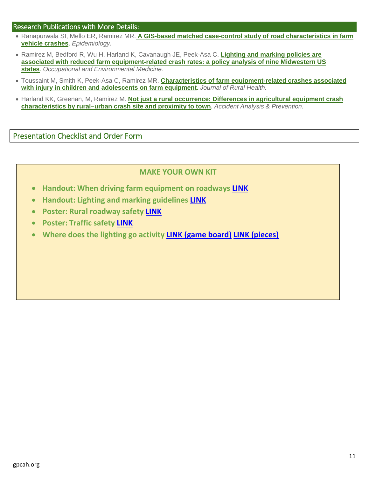#### Research Publications with More Details:

- Ranapurwala SI, Mello ER, Ramirez MR. **A GIS-based matched case-control study of road [characteristics](https://www.ncbi.nlm.nih.gov/pubmed/27468005) in farm vehicle [crashes](https://www.ncbi.nlm.nih.gov/pubmed/27468005)**. *Epidemiology.*
- Ramirez M, Bedford R, Wu H, Harland K, Cavanaugh JE, Peek-Asa C. **[Lighting](http://oem.bmj.com/content/73/9/621) and marking policies are associated with reduced farm [equipment-related](http://oem.bmj.com/content/73/9/621) crash rates: a policy analysis of nine Midwestern US [states](http://oem.bmj.com/content/73/9/621)**. *Occupational and Environmental Medicine.*
- Toussaint M, Smith K, Peek-Asa C, Ramirez MR. **Characteristics of farm [equipment-related](https://www.ncbi.nlm.nih.gov/pubmed/26633235) crashes associated with injury in children and [adolescents](https://www.ncbi.nlm.nih.gov/pubmed/26633235) on farm equipment**. *Journal of Rural Health.*
- Harland KK, Greenan, M, Ramirez M. **Not just a rural [occurrence:](http://www.ncbi.nlm.nih.gov/pubmed/24686161) Differences in agricultural equipment crash [characteristics](http://www.ncbi.nlm.nih.gov/pubmed/24686161) by rural–urban crash site and proximity to town**. *Accident Analysis & Prevention.*

<span id="page-11-0"></span>Presentation Checklist and Order Form

### **MAKE YOUR OWN KIT**

- **Handout: When driving farm equipment on roadways [LINK](https://gpcah.public-health.uiowa.edu/wp-content/uploads/2017/05/Farm-Vehicle-Roadway-Safety-handout-5x7.pdf)**
- **Handout: Lighting and marking guidelines [LINK](https://gpcah.public-health.uiowa.edu/wp-content/uploads/2017/05/Farm-Vehicle-Roadway-Safety-handout-5x7.pdf)**
- **Poster: Rural roadway safety [LINK](https://bit.ly/3ieDHmm)**
- **Poster: Traffic safety [LINK](https://gpcah.public-health.uiowa.edu/wp-content/uploads/2017/03/Roadway_Safety.jpg)**
- **Where does the lighting go activity LINK [\(game board\)](https://gpcah.public-health.uiowa.edu/wp-content/uploads/2017/05/Where-does-lighting-and-marking-go-board.png) [LINK \(pieces\)](https://gpcah.public-health.uiowa.edu/wp-content/uploads/2017/05/Lighting-and-marking-pieces-1.pptx)**